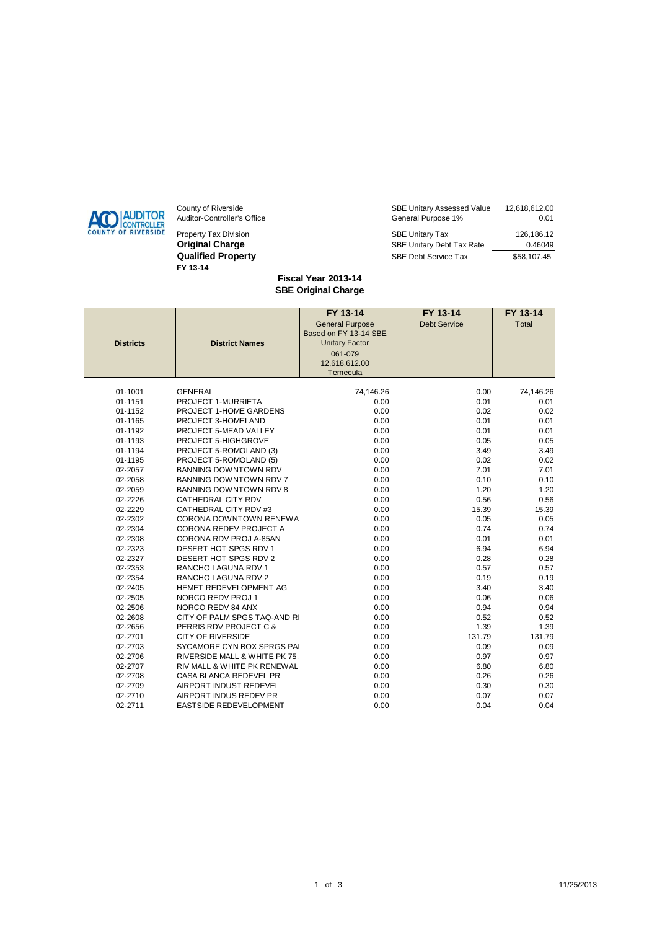

Property Tax Division **Original Charge Qualified Property FY 13-14** 

| County of Riverside         | <b>SBE Unitary Assessed Value</b> | 12,618,612.00 |
|-----------------------------|-----------------------------------|---------------|
| Auditor-Controller's Office | General Purpose 1%                | 0.01          |
| Property Tax Division       | <b>SBE Unitary Tax</b>            | 126.186.12    |
| Original Charge             | SBE Unitary Debt Tax Rate         | 0.46049       |
| <b>Qualified Property</b>   | SBE Debt Service Tax              | \$58,107.45   |

## **Fiscal Year 2013-14 SBE Original Charge**

|                  |                               | FY 13-14               | FY 13-14            | FY 13-14  |
|------------------|-------------------------------|------------------------|---------------------|-----------|
|                  |                               | <b>General Purpose</b> | <b>Debt Service</b> | Total     |
|                  |                               | Based on FY 13-14 SBE  |                     |           |
| <b>Districts</b> | <b>District Names</b>         | <b>Unitary Factor</b>  |                     |           |
|                  |                               | 061-079                |                     |           |
|                  |                               | 12,618,612.00          |                     |           |
|                  |                               | Temecula               |                     |           |
| 01-1001          | <b>GENERAL</b>                | 74,146.26              | 0.00                | 74,146.26 |
| 01-1151          | PROJECT 1-MURRIETA            | 0.00                   | 0.01                | 0.01      |
| 01-1152          | PROJECT 1-HOME GARDENS        | 0.00                   | 0.02                | 0.02      |
| 01-1165          | PROJECT 3-HOMELAND            | 0.00                   | 0.01                | 0.01      |
| 01-1192          | PROJECT 5-MEAD VALLEY         | 0.00                   | 0.01                | 0.01      |
| 01-1193          | PROJECT 5-HIGHGROVE           | 0.00                   | 0.05                | 0.05      |
| 01-1194          | PROJECT 5-ROMOLAND (3)        | 0.00                   | 3.49                | 3.49      |
| 01-1195          | PROJECT 5-ROMOLAND (5)        | 0.00                   | 0.02                | 0.02      |
| 02-2057          | <b>BANNING DOWNTOWN RDV</b>   | 0.00                   | 7.01                | 7.01      |
| 02-2058          | BANNING DOWNTOWN RDV 7        | 0.00                   | 0.10                | 0.10      |
| 02-2059          | BANNING DOWNTOWN RDV 8        | 0.00                   | 1.20                | 1.20      |
| 02-2226          | CATHEDRAL CITY RDV            | 0.00                   | 0.56                | 0.56      |
| 02-2229          | CATHEDRAL CITY RDV #3         | 0.00                   | 15.39               | 15.39     |
| 02-2302          | CORONA DOWNTOWN RENEWA        | 0.00                   | 0.05                | 0.05      |
| 02-2304          | <b>CORONA REDEV PROJECT A</b> | 0.00                   | 0.74                | 0.74      |
| 02-2308          | CORONA RDV PROJ A-85AN        | 0.00                   | 0.01                | 0.01      |
| 02-2323          | DESERT HOT SPGS RDV 1         | 0.00                   | 6.94                | 6.94      |
| 02-2327          | DESERT HOT SPGS RDV 2         | 0.00                   | 0.28                | 0.28      |
| 02-2353          | RANCHO LAGUNA RDV 1           | 0.00                   | 0.57                | 0.57      |
| 02-2354          | RANCHO LAGUNA RDV 2           | 0.00                   | 0.19                | 0.19      |
| 02-2405          | HEMET REDEVELOPMENT AG        | 0.00                   | 3.40                | 3.40      |
| 02-2505          | NORCO REDV PROJ 1             | 0.00                   | 0.06                | 0.06      |
| 02-2506          | NORCO REDV 84 ANX             | 0.00                   | 0.94                | 0.94      |
| 02-2608          | CITY OF PALM SPGS TAQ-AND RI  | 0.00                   | 0.52                | 0.52      |
| 02-2656          | PERRIS RDV PROJECT C &        | 0.00                   | 1.39                | 1.39      |
| 02-2701          | <b>CITY OF RIVERSIDE</b>      | 0.00                   | 131.79              | 131.79    |
| 02-2703          | SYCAMORE CYN BOX SPRGS PAI    | 0.00                   | 0.09                | 0.09      |
| 02-2706          | RIVERSIDE MALL & WHITE PK 75  | 0.00                   | 0.97                | 0.97      |
| 02-2707          | RIV MALL & WHITE PK RENEWAL   | 0.00                   | 6.80                | 6.80      |
| 02-2708          | CASA BLANCA REDEVEL PR        | 0.00                   | 0.26                | 0.26      |
| 02-2709          | AIRPORT INDUST REDEVEL        | 0.00                   | 0.30                | 0.30      |
| 02-2710          | AIRPORT INDUS REDEV PR        | 0.00                   | 0.07                | 0.07      |
| 02-2711          | EASTSIDE REDEVELOPMENT        | 0.00                   | 0.04                | 0.04      |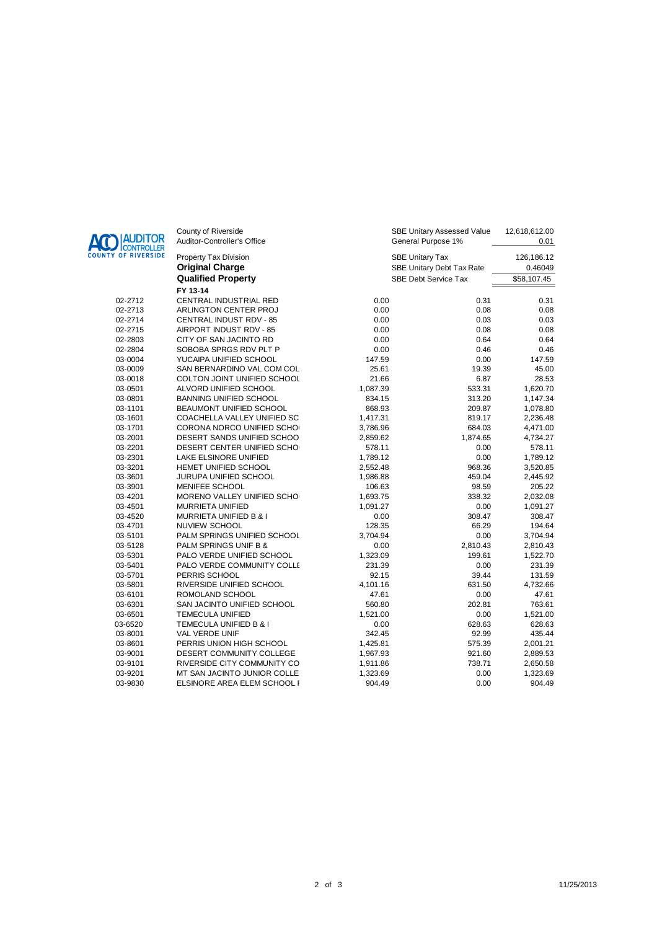

| <b>IAUDITOR</b><br>ICONTROLLER | County of Riverside<br>Auditor-Controller's Office |          | <b>SBE Unitary Assessed Value</b><br>General Purpose 1% | 12,618,612.00<br>0.01 |
|--------------------------------|----------------------------------------------------|----------|---------------------------------------------------------|-----------------------|
| OF RIVERSIDE                   | Property Tax Division                              |          | <b>SBE Unitary Tax</b>                                  | 126,186.12            |
|                                | <b>Original Charge</b>                             |          | SBE Unitary Debt Tax Rate                               | 0.46049               |
|                                | <b>Qualified Property</b>                          |          | <b>SBE Debt Service Tax</b>                             | \$58,107.45           |
|                                | FY 13-14                                           |          |                                                         |                       |
| 02-2712                        | CENTRAL INDUSTRIAL RED                             | 0.00     | 0.31                                                    | 0.31                  |
| 02-2713                        | ARLINGTON CENTER PROJ                              | 0.00     | 0.08                                                    | 0.08                  |
| 02-2714                        | CENTRAL INDUST RDV - 85                            | 0.00     | 0.03                                                    | 0.03                  |
| 02-2715                        | AIRPORT INDUST RDV - 85                            | 0.00     | 0.08                                                    | 0.08                  |
| 02-2803                        | CITY OF SAN JACINTO RD                             | 0.00     | 0.64                                                    | 0.64                  |
| 02-2804                        | SOBOBA SPRGS RDV PLT P                             | 0.00     | 0.46                                                    | 0.46                  |
| 03-0004                        | YUCAIPA UNIFIED SCHOOL                             | 147.59   | 0.00                                                    | 147.59                |
| 03-0009                        | SAN BERNARDINO VAL COM COL                         | 25.61    | 19.39                                                   | 45.00                 |
| 03-0018                        | COLTON JOINT UNIFIED SCHOOL                        | 21.66    | 6.87                                                    | 28.53                 |
| 03-0501                        | ALVORD UNIFIED SCHOOL                              | 1,087.39 | 533.31                                                  | 1,620.70              |
| 03-0801                        | <b>BANNING UNIFIED SCHOOL</b>                      | 834.15   | 313.20                                                  | 1,147.34              |
| 03-1101                        | BEAUMONT UNIFIED SCHOOL                            | 868.93   | 209.87                                                  | 1,078.80              |
| 03-1601                        | COACHELLA VALLEY UNIFIED SC                        | 1,417.31 | 819.17                                                  | 2,236.48              |
| 03-1701                        | CORONA NORCO UNIFIED SCHO                          | 3,786.96 | 684.03                                                  | 4,471.00              |
| 03-2001                        | DESERT SANDS UNIFIED SCHOO                         | 2,859.62 | 1,874.65                                                | 4,734.27              |
| 03-2201                        | DESERT CENTER UNIFIED SCHO                         | 578.11   | 0.00                                                    | 578.11                |
| 03-2301                        | LAKE ELSINORE UNIFIED                              | 1,789.12 | 0.00                                                    | 1,789.12              |
| 03-3201                        | HEMET UNIFIED SCHOOL                               | 2,552.48 | 968.36                                                  | 3,520.85              |
| 03-3601                        | JURUPA UNIFIED SCHOOL                              | 1,986.88 | 459.04                                                  | 2,445.92              |
| 03-3901                        | MENIFEE SCHOOL                                     | 106.63   | 98.59                                                   | 205.22                |
| 03-4201                        | MORENO VALLEY UNIFIED SCHO                         | 1,693.75 | 338.32                                                  | 2,032.08              |
| 03-4501                        | <b>MURRIETA UNIFIED</b>                            | 1,091.27 | 0.00                                                    | 1,091.27              |
| 03-4520                        | <b>MURRIETA UNIFIED B &amp; I</b>                  | 0.00     | 308.47                                                  | 308.47                |
| 03-4701                        | <b>NUVIEW SCHOOL</b>                               | 128.35   | 66.29                                                   | 194.64                |
| 03-5101                        | PALM SPRINGS UNIFIED SCHOOL                        | 3,704.94 | 0.00                                                    | 3,704.94              |
| 03-5128                        | PALM SPRINGS UNIF B &                              | 0.00     | 2,810.43                                                | 2,810.43              |
| 03-5301                        | PALO VERDE UNIFIED SCHOOL                          | 1,323.09 | 199.61                                                  | 1,522.70              |
| 03-5401                        | PALO VERDE COMMUNITY COLLE                         | 231.39   | 0.00                                                    | 231.39                |
| 03-5701                        | PERRIS SCHOOL                                      | 92.15    | 39.44                                                   | 131.59                |
| 03-5801                        | RIVERSIDE UNIFIED SCHOOL                           | 4,101.16 | 631.50                                                  | 4,732.66              |
| 03-6101                        | ROMOLAND SCHOOL                                    | 47.61    | 0.00                                                    | 47.61                 |
| 03-6301                        | SAN JACINTO UNIFIED SCHOOL                         | 560.80   | 202.81                                                  | 763.61                |
| 03-6501                        | <b>TEMECULA UNIFIED</b>                            | 1,521.00 | 0.00                                                    | 1,521.00              |
| 03-6520                        | TEMECULA UNIFIED B & I                             | 0.00     | 628.63                                                  | 628.63                |
| 03-8001                        | VAL VERDE UNIF                                     | 342.45   | 92.99                                                   | 435.44                |
| 03-8601                        | PERRIS UNION HIGH SCHOOL                           | 1,425.81 | 575.39                                                  | 2,001.21              |
| 03-9001                        | DESERT COMMUNITY COLLEGE                           | 1,967.93 | 921.60                                                  | 2,889.53              |
| 03-9101                        | RIVERSIDE CITY COMMUNITY CO                        | 1,911.86 | 738.71                                                  | 2,650.58              |
| 03-9201                        | MT SAN JACINTO JUNIOR COLLE                        | 1,323.69 | 0.00                                                    | 1,323.69              |
| 03-9830                        | ELSINORE AREA ELEM SCHOOL F                        | 904.49   | 0.00                                                    | 904.49                |